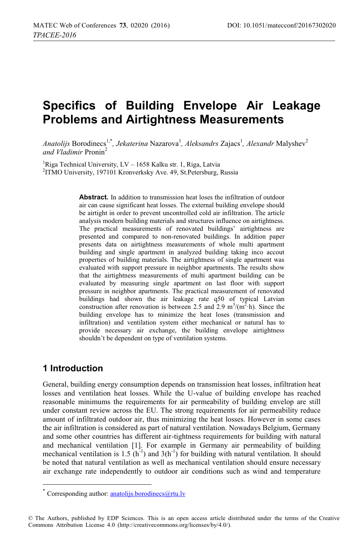# **Specifics of Building Envelope Air Leakage Problems and Airtightness Measurements**

*Anatolijs* Borodinecs<sup>1,\*</sup>, *Jekaterina* Nazarova<sup>1</sup>, *Aleksandrs Z*ajacs<sup>1</sup>, *Alexandr* Malyshev<sup>2</sup> *and Vladimir* Pronin2

<sup>1</sup>Riga Technical University, LV – 1658 Kalku str. 1, Riga, Latvia<br><sup>2</sup>ITMO University, 197101 Kronverksky, Ave. 49, St Petersburg, I <sup>2</sup>ITMO University, 197101 Kronverksky Ave. 49, St.Petersburg, Russia

> **Abstract.** In addition to transmission heat loses the infiltration of outdoor air can cause significant heat losses. The external building envelope should be airtight in order to prevent uncontrolled cold air infiltration. The article analysis modern building materials and structures influence on airtightness. The practical measurements of renovated buildings' airtightness are presented and compared to non-renovated buildings. In addition paper presents data on airtightness measurements of whole multi apartment building and single apartment in analyzed building taking inco accout properties of building materials. The airtightness of single apartment was evaluated with support pressure in neighbor apartments. The results show that the airtightness measurements of multi apartment building can be evaluated by measuring single apartment on last floor with support pressure in neighbor apartments. The practical measurement of renovated buildings had shown the air leakage rate q50 of typical Latvian construction after renovation is between 2.5 and 2.9 m<sup>3</sup>/(m<sup>2</sup>·h). Since the building envelope has to minimize the heat loses (transmission and infiltration) and ventilation system either mechanical or natural has to provide necessary air exchange, the building envelope airtightness shouldn't be dependent on type of ventilation systems.

## **1 Introduction**

 $\overline{a}$ 

General, building energy consumption depends on transmission heat losses, infiltration heat losses and ventilation heat losses. While the U-value of building envelope has reached reasonable minimums the requirements for air permeability of building envelop are still under constant review across the EU. The strong requirements for air permeability reduce amount of infiltrated outdoor air, thus minimizing the heat losses. However in some cases the air infiltration is considered as part of natural ventilation. Nowadays Belgium, Germany and some other countries has different air-tightness requirements for building with natural and mechanical ventilation [1]. For example in Germany air permeability of building mechanical ventilation is 1.5  $(h^{-1})$  and  $3(h^{-1})$  for building with natural ventilation. It should be noted that natural ventilation as well as mechanical ventilation should ensure necessary air exchange rate independently to outdoor air conditions such as wind and temperature

<sup>\*</sup> Corresponding author: anatolijs.borodinecs@rtu.lv

<sup>©</sup> The Authors, published by EDP Sciences. This is an open access article distributed under the terms of the Creative Commons Attribution License 4.0 (http://creativecommons.org/licenses/by/4.0/).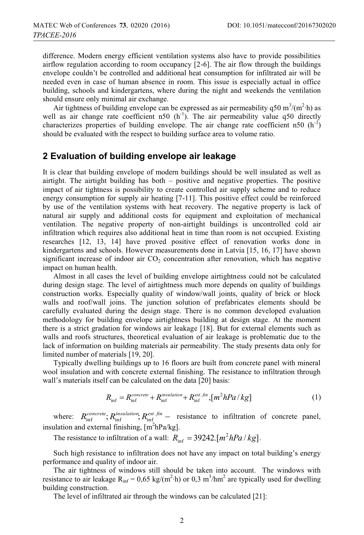difference. Modern energy efficient ventilation systems also have to provide possibilities airflow regulation according to room occupancy [2-6]. The air flow through the buildings envelope couldn't be controlled and additional heat consumption for infiltrated air will be needed even in case of human absence in room. This issue is especially actual in office building, schools and kindergartens, where during the night and weekends the ventilation should ensure only minimal air exchange.

Air tightness of building envelope can be expressed as air permeability q50 m<sup>3</sup>/(m<sup>2</sup>·h) as well as air change rate coefficient n50  $(h^{-1})$ . The air permeability value q50 directly characterizes properties of building envelope. The air change rate coefficient n50 (h<sup>-1</sup>) should be evaluated with the respect to building surface area to volume ratio.

### **2 Evaluation of building envelope air leakage**

It is clear that building envelope of modern buildings should be well insulated as well as airtight. The airtight building has both – positive and negative properties. The positive impact of air tightness is possibility to create controlled air supply scheme and to reduce energy consumption for supply air heating [7-11]. This positive effect could be reinforced by use of the ventilation systems with heat recovery. The negative property is lack of natural air supply and additional costs for equipment and exploitation of mechanical ventilation. The negative property of non-airtight buildings is uncontrolled cold air infiltration which requires also additional heat in time than room is not occupied. Existing researches [12, 13, 14] have proved positive effect of renovation works done in kindergartens and schools. However measurements done in Latvia [15, 16, 17] have shown significant increase of indoor air  $CO<sub>2</sub>$  concentration after renovation, which has negative impact on human health.

Almost in all cases the level of building envelope airtightness could not be calculated during design stage. The level of airtightness much more depends on quality of buildings construction works. Especially quality of window/wall joints, quality of brick or block walls and roof/wall joins. The junction solution of prefabricates elements should be carefully evaluated during the design stage. There is no common developed evaluation methodology for building envelope airtightness building at design stage. At the moment there is a strict gradation for windows air leakage [18]. But for external elements such as walls and roofs structures, theoretical evaluation of air leakage is problematic due to the lack of information on building materials air permeability. The study presents data only for limited number of materials [19, 20].

Typically dwelling buildings up to 16 floors are built from concrete panel with mineral wool insulation and with concrete external finishing. The resistance to infiltration through wall's materials itself can be calculated on the data [20] basis:

$$
R_{\rm inf} = R_{\rm inf}^{\text{concrete}} + R_{\rm inf}^{\text{insulation}} + R_{\rm inf}^{\text{ext},\text{fin}}, [m^2 hPa/kg]
$$
(1)

where:  $R_{\text{inf}}^{concrete}$ ;  $R_{\text{inf}}^{insulation}$ ,  $R_{\text{inf}}^{ext, fin}$  – resistance to infiltration of concrete panel, insulation and external finishing,  $[m^2hPa/kg]$ .

The resistance to infiltration of a wall:  $R_{\text{inf}} = 39242$ .[ $m^2 hPa / kg$ ].

Such high resistance to infiltration does not have any impact on total building's energy performance and quality of indoor air.

The air tightness of windows still should be taken into account. The windows with resistance to air leakage  $R_{\text{inf}} = 0.65 \text{ kg/(m}^2 \cdot \text{h)}$  or 0.3 m<sup>3</sup>/hm<sup>2</sup> are typically used for dwelling building construction.

The level of infiltrated air through the windows can be calculated [21]: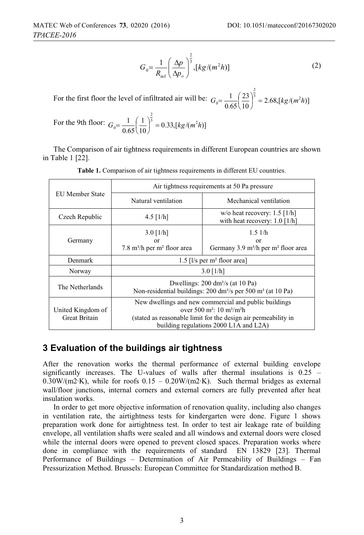$$
G_0 = \frac{1}{R_{\text{inf}}} \left( \frac{\Delta p}{\Delta p_o} \right)^{\frac{2}{3}}, [kg/(m^2 h)] \tag{2}
$$

For the first floor the level of infiltrated air will be:  $G_0 = \frac{1}{0.65} \left( \frac{23}{10} \right)^3 = 2.68$ ,  $\left[ \frac{kg}{m^2 h} \right]$ 0.65  $1\left(23\right)^{\frac{2}{3}}-2.68$  [kg/(m<sup>2</sup>)  $G_0 = \frac{1}{0.65} \left(\frac{23}{10}\right)^3 = 2.68$ , [kg/(m<sup>2</sup>h  $=\frac{1}{2} \left(\frac{23}{2}\right)^{\frac{1}{3}} = 2.68 \sqrt{kg/(m^2h)}$ 

For the 9th floor: 
$$
G_0 = \frac{1}{0.65} \left(\frac{1}{10}\right)^{\frac{2}{3}} = 0.33
$$
,  $[kg/(m^2 h)]$ 

The Comparison of air tightness requirements in different European countries are shown in Table 1 [22].

|                                           | Air tightness requirements at 50 Pa pressure                                                                                                                                                                                       |                                                                                         |  |
|-------------------------------------------|------------------------------------------------------------------------------------------------------------------------------------------------------------------------------------------------------------------------------------|-----------------------------------------------------------------------------------------|--|
| EU Member State                           | Natural ventilation                                                                                                                                                                                                                | Mechanical ventilation                                                                  |  |
| Czech Republic                            | $4.5$ [1/h]                                                                                                                                                                                                                        | w/o heat recovery: $1.5 \lfloor \frac{1}{h} \rfloor$<br>with heat recovery: $1.0$ [1/h] |  |
| Germany                                   | $3.0$ [1/h]<br>or<br>7.8 m <sup>3</sup> /h per m <sup>2</sup> floor area                                                                                                                                                           | 1.51/h<br>or<br>Germany 3.9 m <sup>3</sup> /h per m <sup>2</sup> floor area             |  |
| Denmark                                   | 1.5 $\left[\frac{1}{s}\right]$ per m <sup>2</sup> floor area                                                                                                                                                                       |                                                                                         |  |
| Norway                                    | $3.0$ [1/h]                                                                                                                                                                                                                        |                                                                                         |  |
| The Netherlands                           | Dwellings: $200 \text{ dm}^3\text{/s}$ (at 10 Pa)<br>Non-residential buildings: 200 dm <sup>3</sup> /s per 500 m <sup>3</sup> (at 10 Pa)                                                                                           |                                                                                         |  |
| United Kingdom of<br><b>Great Britain</b> | New dwellings and new commercial and public buildings<br>over 500 m <sup>2</sup> : 10 m <sup>3</sup> /m <sup>2</sup> h<br>(stated as reasonable limit for the design air permeability in<br>building regulations 2000 L1A and L2A) |                                                                                         |  |

**Table 1.** Comparison of air tightness requirements in different EU countries.

# **3 Evaluation of the buildings air tightness**

After the renovation works the thermal performance of external building envelope significantly increases. The U-values of walls after thermal insulations is 0.25 – 0.30W/(m2∙K), while for roofs 0.15 – 0.20W/(m2∙K). Such thermal bridges as external wall/floor junctions, internal corners and external corners are fully prevented after heat insulation works.

In order to get more objective information of renovation quality, including also changes in ventilation rate, the airtightness tests for kindergarten were done. Figure 1 shows preparation work done for airtightness test. In order to test air leakage rate of building envelope, all ventilation shafts were sealed and all windows and external doors were closed while the internal doors were opened to prevent closed spaces. Preparation works where done in compliance with the requirements of standard EN 13829 [23]. Thermal Performance of Buildings – Determination of Air Permeability of Buildings – Fan Pressurization Method. Brussels: European Committee for Standardization method B.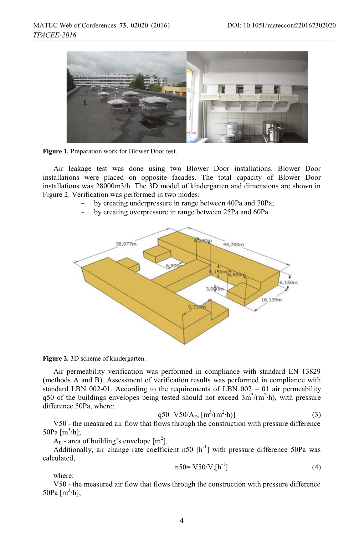

**Figure 1.** Preparation work for Blower Door test.

Air leakage test was done using two Blower Door installations. Blower Door installations were placed on opposite facades. The total capacity of Blower Door installations was 28000m3/h. The 3D model of kindergarten and dimensions are shown in Figure 2. Verification was performed in two modes:

- by creating underpressure in range between 40Pa and 70Pa;
- by creating overpressure in range between 25Pa and 60Pa





Air permeability verification was performed in compliance with standard EN 13829 (methods A and B). Assessment of verification results was performed in compliance with standard LBN 002-01. According to the requirements of LBN 002 – 01 air permeability q50 of the buildings envelopes being tested should not exceed  $3m^3/(m^2 \cdot h)$ , with pressure difference 50Pa, where:

$$
q50 = V50/A_E, [m^3/(m^2 \cdot h)]
$$
 (3)

V50 - the measured air flow that flows through the construction with pressure difference 50Pa  $[m^3/h]$ ;

 $A_{E}$  - area of building's envelope [m<sup>2</sup>].

Additionally, air change rate coefficient n50  $[h^{-1}]$  with pressure difference 50Pa was calculated,

$$
n50 = V50/V, [h^{-1}]
$$
 (4)

where:

V50 - the measured air flow that flows through the construction with pressure difference 50Pa  $[m^3/h]$ ;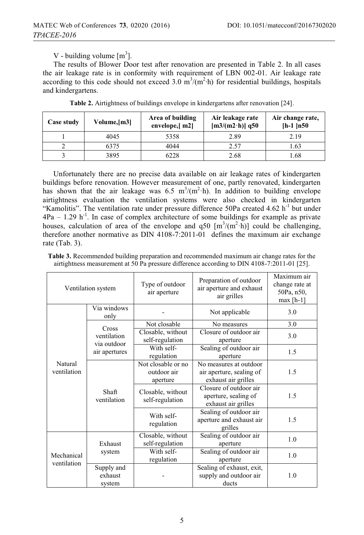V - building volume  $[m^3]$ .

The results of Blower Door test after renovation are presented in Table 2. In all cases the air leakage rate is in conformity with requirement of LBN 002-01. Air leakage rate according to this code should not exceed 3.0  $\text{m}^3/\text{(m}^2 \cdot \text{h})$  for residential buildings, hospitals and kindergartens.

| Case study | Volume, [m3] | Area of building<br>envelope,[m2] | Air leakage rate<br>$[m3/(m2 \cdot h)]$ q50 | Air change rate,<br>$[h-1]n50$ |
|------------|--------------|-----------------------------------|---------------------------------------------|--------------------------------|
|            | 4045         | 5358                              | 2.89                                        | 2.19                           |
|            | 6375         | 4044                              | 2.57                                        | 1.63                           |
|            | 3895         | 6228                              | 2.68                                        | 1.68                           |

**Table 2.** Airtightness of buildings envelope in kindergartens after renovation [24].

Unfortunately there are no precise data available on air leakage rates of kindergarten buildings before renovation. However measurement of one, partly renovated, kindergarten has shown that the air leakage was  $6.5 \text{ m}^3/\text{(m}^2 \cdot \text{h})$ . In addition to building envelope airtightness evaluation the ventilation systems were also checked in kindergarten "Kamolitis". The ventilation rate under pressure difference 50Pa created 4.62  $h^{-1}$  but under  $4Pa - 1.29 h^{-1}$ . In case of complex architecture of some buildings for example as private houses, calculation of area of the envelope and  $q50 \, [\text{m}^3/(\text{m}^2 \cdot \text{h})]$  could be challenging, therefore another normative as DIN 4108-7:2011-01 defines the maximum air exchange rate (Tab. 3).

| <b>Table 3.</b> Recommended building preparation and recommended maximum air change rates for the |  |
|---------------------------------------------------------------------------------------------------|--|
| airtightness measurement at 50 Pa pressure difference according to DIN 4108-7:2011-01 [25].       |  |

| Ventilation system        |                                                      | Type of outdoor<br>air aperture               | Preparation of outdoor<br>air aperture and exhaust<br>air grilles         | Maximum air<br>change rate at<br>50Pa, n50,<br>$max[h-1]$ |
|---------------------------|------------------------------------------------------|-----------------------------------------------|---------------------------------------------------------------------------|-----------------------------------------------------------|
|                           | Via windows<br>only                                  |                                               | Not applicable                                                            | 3.0                                                       |
|                           | Cross<br>ventilation<br>via outdoor<br>air apertures | Not closable                                  | No measures                                                               | 3.0                                                       |
| Natural<br>ventilation    |                                                      | Closable, without<br>self-regulation          | Closure of outdoor air<br>aperture                                        | 3.0                                                       |
|                           |                                                      | With self-<br>regulation                      | Sealing of outdoor air<br>aperture                                        | 1.5                                                       |
|                           | Shaft<br>ventilation                                 | Not closable or no<br>outdoor air<br>aperture | No measures at outdoor<br>air aperture, sealing of<br>exhaust air grilles | 1.5                                                       |
|                           |                                                      | Closable, without<br>self-regulation          | Closure of outdoor air<br>aperture, sealing of<br>exhaust air grilles     | 1.5                                                       |
|                           |                                                      | With self-<br>regulation                      | Sealing of outdoor air<br>aperture and exhaust air<br>grilles             | 1.5                                                       |
| Mechanical<br>ventilation | Exhaust<br>system                                    | Closable, without<br>self-regulation          | Sealing of outdoor air<br>aperture                                        | 1.0                                                       |
|                           |                                                      | With self-<br>regulation                      | Sealing of outdoor air<br>aperture                                        | 1.0                                                       |
|                           | Supply and<br>exhaust<br>system                      |                                               | Sealing of exhaust, exit,<br>supply and outdoor air<br>ducts              | 1.0                                                       |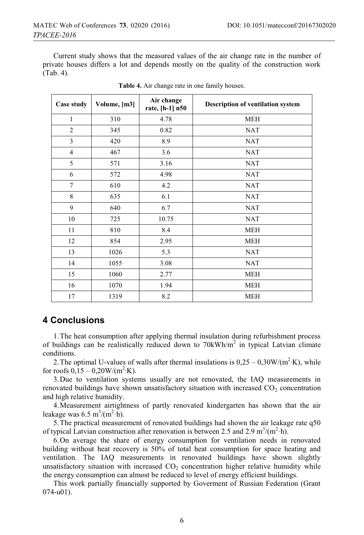Current study shows that the measured values of the air change rate in the number of private houses differs a lot and depends mostly on the quality of the construction work (Tab. 4).

| Case study     | Volume, [m3] | Air change<br>rate, [h-1] n50 | <b>Description of ventilation system</b> |
|----------------|--------------|-------------------------------|------------------------------------------|
| 1              | 310          | 4.78                          | <b>MEH</b>                               |
| $\overline{2}$ | 345          | 0.82                          | <b>NAT</b>                               |
| 3              | 420          | 8.9                           | <b>NAT</b>                               |
| $\overline{4}$ | 467          | 3.6                           | <b>NAT</b>                               |
| 5              | 571          | 3.16                          | <b>NAT</b>                               |
| 6              | 572          | 4.98                          | <b>NAT</b>                               |
| 7              | 610          | 4.2                           | <b>NAT</b>                               |
| 8              | 635          | 6.1                           | <b>NAT</b>                               |
| 9              | 640          | 6.7                           | <b>NAT</b>                               |
| 10             | 725          | 10.75                         | <b>NAT</b>                               |
| 11             | 810          | 8.4                           | <b>MEH</b>                               |
| 12             | 854          | 2.95                          | <b>MEH</b>                               |
| 13             | 1026         | 5.3                           | <b>NAT</b>                               |
| 14             | 1055         | 3.08                          | <b>NAT</b>                               |
| 15             | 1060         | 2.77                          | <b>MEH</b>                               |
| 16             | 1070         | 1.94                          | <b>MEH</b>                               |
| 17             | 1319         | 8.2                           | <b>MEH</b>                               |

**Table 4.** Air change rate in one family houses.

### **4 Conclusions**

1.The heat consumption after applying thermal insulation during refurbishment process of buildings can be realistically reduced down to 70kWh/m<sup>2</sup> in typical Latvian climate conditions.

2. The optimal U-values of walls after thermal insulations is  $0.25 - 0.30 W/(m^2·K)$ , while for roofs  $0,15 - 0,20W/(m^2·K)$ .

3.Due to ventilation systems usually are not renovated, the IAQ measurements in renovated buildings have shown unsatisfactory situation with increased  $CO<sub>2</sub>$  concentration and high relative humidity.

4.Measurement airtightness of partly renovated kindergarten has shown that the air leakage was  $6.5 \text{ m}^3/\text{(m}^2 \cdot \text{h})$ .

5.The practical measurement of renovated buildings had shown the air leakage rate q50 of typical Latvian construction after renovation is between 2.5 and 2.9 m<sup>3</sup>/(m<sup>2</sup>·h).

6.On average the share of energy consumption for ventilation needs in renovated building without heat recovery is 50% of total heat consumption for space heating and ventilation. The IAQ measurements in renovated buildings have shown slightly unsatisfactory situation with increased  $CO<sub>2</sub>$  concentration higher relative humidity while the energy consumption can almost be reduced to level of energy efficient buildings.

This work partially financially supported by Goverment of Russian Federation (Grant 074-u01).